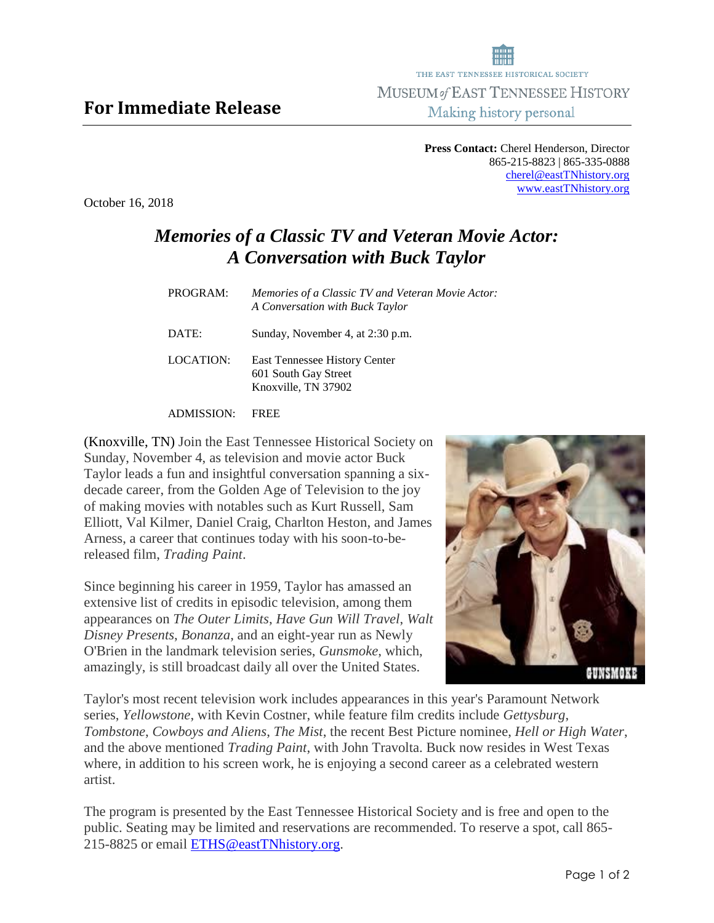## **For Immediate Release**

**Press Contact:** Cherel Henderson, Director 865-215-8823 | 865-335-0888 [cherel@eastTNhistory.org](mailto:cherel@eastTNhistory.org) [www.eastTNhistory.org](http://www.easttnhistory.org/)

THE EAST TENNESSEE HISTORICAL SOCIETY MUSEUM of EAST TENNESSEE HISTORY Making history personal

## *Memories of a Classic TV and Veteran Movie Actor: A Conversation with Buck Taylor*

| PROGRAM:  | <i>Memories of a Classic TV and Veteran Movie Actor:</i><br>A Conversation with Buck Taylor |
|-----------|---------------------------------------------------------------------------------------------|
| DATE:     | Sunday, November 4, at 2:30 p.m.                                                            |
| LOCATION: | East Tennessee History Center<br>601 South Gay Street<br>Knoxville, TN 37902                |

ADMISSION: FREE

(Knoxville, TN) Join the East Tennessee Historical Society on Sunday, November 4, as television and movie actor Buck Taylor leads a fun and insightful conversation spanning a sixdecade career, from the Golden Age of Television to the joy of making movies with notables such as Kurt Russell, Sam Elliott, Val Kilmer, Daniel Craig, Charlton Heston, and James Arness, a career that continues today with his soon-to-bereleased film, *Trading Paint*.

Since beginning his career in 1959, Taylor has amassed an extensive list of credits in episodic television, among them appearances on *The Outer Limits*, *Have Gun Will Travel*, *Walt Disney Presents*, *Bonanza*, and an eight-year run as Newly O'Brien in the landmark television series, *Gunsmoke*, which, amazingly, is still broadcast daily all over the United States.

Taylor's most recent television work includes appearances in this year's Paramount Network series, *Yellowstone*, with Kevin Costner, while feature film credits include *Gettysburg*, *Tombstone*, *Cowboys and Aliens*, *The Mist*, the recent Best Picture nominee, *Hell or High Water*, and the above mentioned *Trading Paint*, with John Travolta. Buck now resides in West Texas where, in addition to his screen work, he is enjoying a second career as a celebrated western artist.

The program is presented by the East Tennessee Historical Society and is free and open to the public. Seating may be limited and reservations are recommended. To reserve a spot, call 865- 215-8825 or email [ETHS@eastTNhistory.org.](mailto:eths@easttnhistory.org)





October 16, 2018